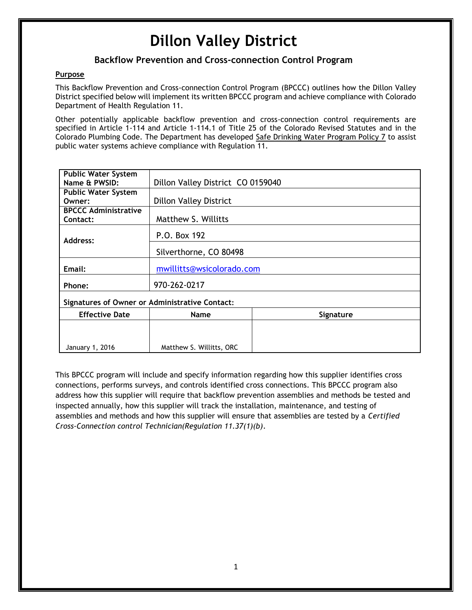# **Dillon Valley District**

#### **Backflow Prevention and Cross-connection Control Program**

#### **Purpose**

This Backflow Prevention and Cross-connection Control Program (BPCCC) outlines how the Dillon Valley District specified below will implement its written BPCCC program and achieve compliance with Colorado Department of Health Regulation 11.

Other potentially applicable backflow prevention and cross-connection control requirements are specified in Article 1-114 and Article 1-114.1 of Title 25 of the Colorado Revised Statutes and in the Colorado Plumbing Code. The Department has developed Safe Drinking Water Program Policy 7 to assist public water systems achieve compliance with Regulation 11.

| <b>Public Water System</b>                            |                                   |           |
|-------------------------------------------------------|-----------------------------------|-----------|
| Name & PWSID:                                         | Dillon Valley District CO 0159040 |           |
| <b>Public Water System</b>                            |                                   |           |
| Owner:                                                | <b>Dillon Valley District</b>     |           |
| <b>BPCCC Administrative</b>                           |                                   |           |
| Contact:                                              | Matthew S. Willitts               |           |
| Address:                                              | P.O. Box 192                      |           |
|                                                       | Silverthorne, CO 80498            |           |
| Email:                                                | mwillitts@wsicolorado.com         |           |
| Phone:                                                | 970-262-0217                      |           |
| <b>Signatures of Owner or Administrative Contact:</b> |                                   |           |
| <b>Effective Date</b>                                 | <b>Name</b>                       | Signature |
|                                                       |                                   |           |
|                                                       |                                   |           |
| January 1, 2016                                       | Matthew S. Willitts, ORC          |           |

This BPCCC program will include and specify information regarding how this supplier identifies cross connections, performs surveys, and controls identified cross connections. This BPCCC program also address how this supplier will require that backflow prevention assemblies and methods be tested and inspected annually, how this supplier will track the installation, maintenance, and testing of assemblies and methods and how this supplier will ensure that assemblies are tested by a *Certified Cross-Connection control Technician(Regulation 11.37(1)(b)*.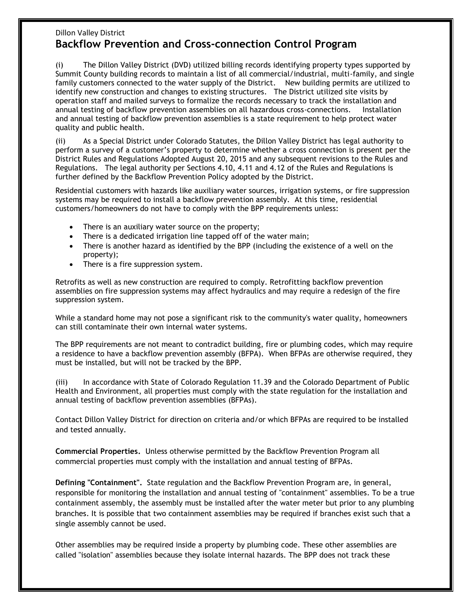## Dillon Valley District **Backflow Prevention and Cross-connection Control Program**

(i) The Dillon Valley District (DVD) utilized billing records identifying property types supported by Summit County building records to maintain a list of all commercial/industrial, multi-family, and single family customers connected to the water supply of the District. New building permits are utilized to identify new construction and changes to existing structures. The District utilized site visits by operation staff and mailed surveys to formalize the records necessary to track the installation and annual testing of backflow prevention assemblies on all hazardous cross-connections. Installation and annual testing of backflow prevention assemblies is a state requirement to help protect water quality and public health.

(ii) As a Special District under Colorado Statutes, the Dillon Valley District has legal authority to perform a survey of a customer's property to determine whether a cross connection is present per the District Rules and Regulations Adopted August 20, 2015 and any subsequent revisions to the Rules and Regulations. The legal authority per Sections 4.10, 4.11 and 4.12 of the Rules and Regulations is further defined by the Backflow Prevention Policy adopted by the District.

Residential customers with hazards like auxiliary water sources, irrigation systems, or fire suppression systems may be required to install a backflow prevention assembly. At this time, residential customers/homeowners do not have to comply with the BPP requirements unless:

- There is an auxiliary water source on the property;
- There is a dedicated irrigation line tapped off of the water main;
- There is another hazard as identified by the BPP (including the existence of a well on the property);
- There is a fire suppression system.

Retrofits as well as new construction are required to comply. Retrofitting backflow prevention assemblies on fire suppression systems may affect hydraulics and may require a redesign of the fire suppression system.

While a standard home may not pose a significant risk to the community's water quality, homeowners can still contaminate their own internal water systems.

The BPP requirements are not meant to contradict building, fire or plumbing codes, which may require a residence to have a backflow prevention assembly (BFPA). When BFPAs are otherwise required, they must be installed, but will not be tracked by the BPP.

(iii) In accordance with State of Colorado Regulation 11.39 and the Colorado Department of Public Health and Environment, all properties must comply with the state regulation for the installation and annual testing of backflow prevention assemblies (BFPAs).

Contact Dillon Valley District for direction on criteria and/or which BFPAs are required to be installed and tested annually.

**Commercial Properties.** Unless otherwise permitted by the Backflow Prevention Program all commercial properties must comply with the installation and annual testing of BFPAs.

**Defining "Containment".** State regulation and the Backflow Prevention Program are, in general, responsible for monitoring the installation and annual testing of "containment" assemblies. To be a true containment assembly, the assembly must be installed after the water meter but prior to any plumbing branches. It is possible that two containment assemblies may be required if branches exist such that a single assembly cannot be used.

Other assemblies may be required inside a property by plumbing code. These other assemblies are called "isolation" assemblies because they isolate internal hazards. The BPP does not track these